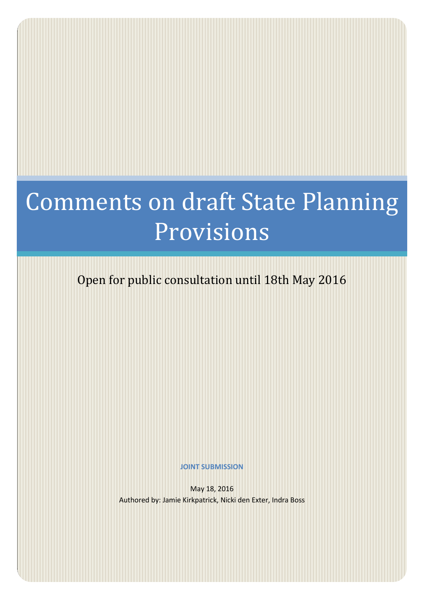# Comments on draft State Planning Provisions

Open for public consultation until 18th May 2016

**JOINT SUBMISSION**

May 18, 2016 Authored by: Jamie Kirkpatrick, Nicki den Exter, Indra Boss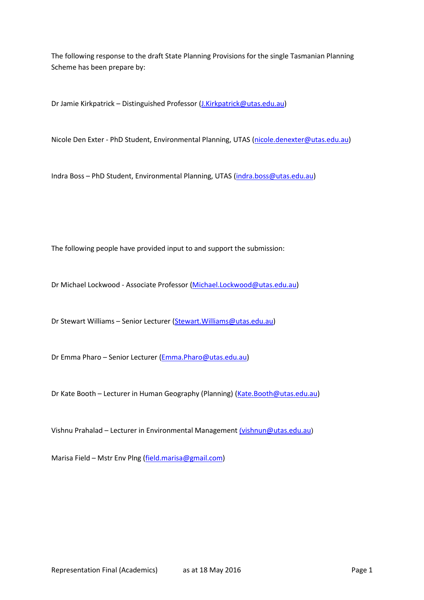The following response to the draft State Planning Provisions for the single Tasmanian Planning Scheme has been prepare by:

Dr Jamie Kirkpatrick – Distinguished Professor (*J.Kirkpatrick@utas.edu.au*)

Nicole Den Exter - PhD Student, Environmental Planning, UTAS [\(nicole.denexter@utas.edu.au\)](mailto:nicole.denexter@utas.edu.au)

Indra Boss – PhD Student, Environmental Planning, UTAS [\(indra.boss@utas.edu.au\)](mailto:indra.boss@utas.edu.au)

The following people have provided input to and support the submission:

Dr Michael Lockwood - Associate Professor [\(Michael.Lockwood@utas.edu.au\)](mailto:Michael.Lockwood@utas.edu.au)

Dr Stewart Williams – Senior Lecturer [\(Stewart.Williams@utas.edu.au\)](mailto:Stewart.Williams@utas.edu.au)

Dr Emma Pharo – Senior Lecturer [\(Emma.Pharo@utas.edu.au\)](mailto:Emma.Pharo@utas.edu.au)

Dr Kate Booth – Lecturer in Human Geography (Planning) [\(Kate.Booth@utas.edu.au\)](mailto:Kate.Booth@utas.edu.au)

Vishnu Prahalad – Lecturer in Environmental Management ([vishnun@utas.edu.au](mailto:(vishnun@utas.edu.au))

Marisa Field – Mstr Env Plng [\(field.marisa@gmail.com\)](mailto:field.marisa@gmail.com)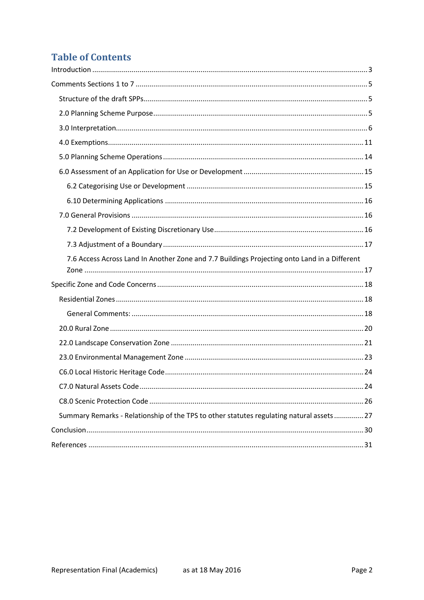# **Table of Contents**

| 7.6 Access Across Land In Another Zone and 7.7 Buildings Projecting onto Land in a Different |
|----------------------------------------------------------------------------------------------|
|                                                                                              |
|                                                                                              |
|                                                                                              |
|                                                                                              |
|                                                                                              |
|                                                                                              |
|                                                                                              |
|                                                                                              |
| . 24                                                                                         |
|                                                                                              |
| Summary Remarks - Relationship of the TPS to other statutes regulating natural assets  27    |
|                                                                                              |
|                                                                                              |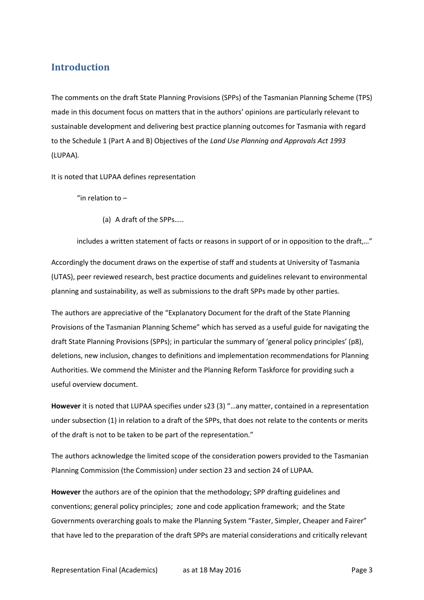# <span id="page-3-0"></span>**Introduction**

The comments on the draft State Planning Provisions (SPPs) of the Tasmanian Planning Scheme (TPS) made in this document focus on matters that in the authors' opinions are particularly relevant to sustainable development and delivering best practice planning outcomes for Tasmania with regard to the Schedule 1 (Part A and B) Objectives of the *Land Use Planning and Approvals Act 1993* (LUPAA)*.* 

It is noted that LUPAA defines representation

"in relation to  $-$ 

(a) A draft of the SPPs…..

includes a written statement of facts or reasons in support of or in opposition to the draft,…"

Accordingly the document draws on the expertise of staff and students at University of Tasmania (UTAS), peer reviewed research, best practice documents and guidelines relevant to environmental planning and sustainability, as well as submissions to the draft SPPs made by other parties.

The authors are appreciative of the "Explanatory Document for the draft of the State Planning Provisions of the Tasmanian Planning Scheme" which has served as a useful guide for navigating the draft State Planning Provisions (SPPs); in particular the summary of 'general policy principles' (p8), deletions, new inclusion, changes to definitions and implementation recommendations for Planning Authorities. We commend the Minister and the Planning Reform Taskforce for providing such a useful overview document.

**However** it is noted that LUPAA specifies under s23 (3) "…any matter, contained in a representation under subsection (1) in relation to a draft of the SPPs, that does not relate to the contents or merits of the draft is not to be taken to be part of the representation."

The authors acknowledge the limited scope of the consideration powers provided to the Tasmanian Planning Commission (the Commission) under section 23 and section 24 of LUPAA.

**However** the authors are of the opinion that the methodology; SPP drafting guidelines and conventions; general policy principles; zone and code application framework; and the State Governments overarching goals to make the Planning System "Faster, Simpler, Cheaper and Fairer" that have led to the preparation of the draft SPPs are material considerations and critically relevant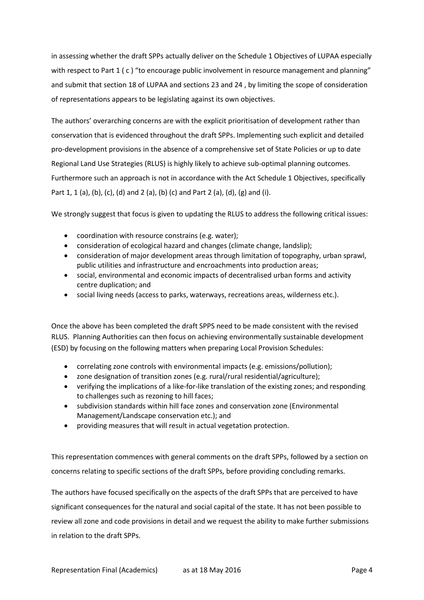in assessing whether the draft SPPs actually deliver on the Schedule 1 Objectives of LUPAA especially with respect to Part 1 (c) "to encourage public involvement in resource management and planning" and submit that section 18 of LUPAA and sections 23 and 24 , by limiting the scope of consideration of representations appears to be legislating against its own objectives.

The authors' overarching concerns are with the explicit prioritisation of development rather than conservation that is evidenced throughout the draft SPPs. Implementing such explicit and detailed pro-development provisions in the absence of a comprehensive set of State Policies or up to date Regional Land Use Strategies (RLUS) is highly likely to achieve sub-optimal planning outcomes. Furthermore such an approach is not in accordance with the Act Schedule 1 Objectives, specifically Part 1, 1 (a), (b), (c), (d) and 2 (a), (b) (c) and Part 2 (a), (d), (g) and (i).

We strongly suggest that focus is given to updating the RLUS to address the following critical issues:

- coordination with resource constrains (e.g. water);
- consideration of ecological hazard and changes (climate change, landslip);
- consideration of major development areas through limitation of topography, urban sprawl, public utilities and infrastructure and encroachments into production areas;
- social, environmental and economic impacts of decentralised urban forms and activity centre duplication; and
- social living needs (access to parks, waterways, recreations areas, wilderness etc.).

Once the above has been completed the draft SPPS need to be made consistent with the revised RLUS. Planning Authorities can then focus on achieving environmentally sustainable development (ESD) by focusing on the following matters when preparing Local Provision Schedules:

- correlating zone controls with environmental impacts (e.g. emissions/pollution);
- zone designation of transition zones (e.g. rural/rural residential/agriculture);
- verifying the implications of a like-for-like translation of the existing zones; and responding to challenges such as rezoning to hill faces;
- subdivision standards within hill face zones and conservation zone (Environmental Management/Landscape conservation etc.); and
- providing measures that will result in actual vegetation protection.

This representation commences with general comments on the draft SPPs, followed by a section on concerns relating to specific sections of the draft SPPs, before providing concluding remarks.

The authors have focused specifically on the aspects of the draft SPPs that are perceived to have significant consequences for the natural and social capital of the state. It has not been possible to review all zone and code provisions in detail and we request the ability to make further submissions in relation to the draft SPPs.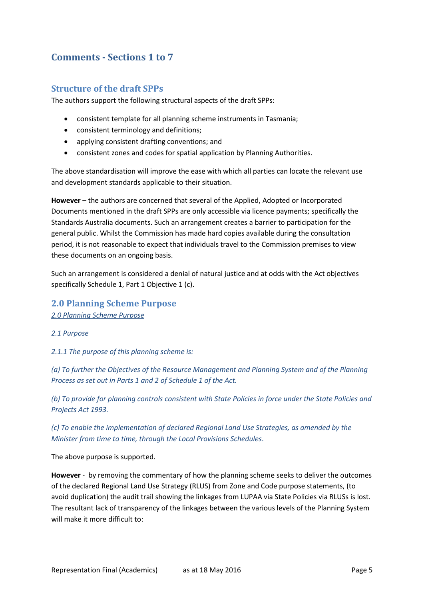# <span id="page-5-0"></span>**Comments - Sections 1 to 7**

### <span id="page-5-1"></span>**Structure of the draft SPPs**

The authors support the following structural aspects of the draft SPPs:

- consistent template for all planning scheme instruments in Tasmania;
- consistent terminology and definitions;
- applying consistent drafting conventions; and
- consistent zones and codes for spatial application by Planning Authorities.

The above standardisation will improve the ease with which all parties can locate the relevant use and development standards applicable to their situation.

**However** – the authors are concerned that several of the Applied, Adopted or Incorporated Documents mentioned in the draft SPPs are only accessible via licence payments; specifically the Standards Australia documents. Such an arrangement creates a barrier to participation for the general public. Whilst the Commission has made hard copies available during the consultation period, it is not reasonable to expect that individuals travel to the Commission premises to view these documents on an ongoing basis.

Such an arrangement is considered a denial of natural justice and at odds with the Act objectives specifically Schedule 1, Part 1 Objective 1 (c).

# <span id="page-5-2"></span>**2.0 Planning Scheme Purpose**

*2.0 Planning Scheme Purpose* 

#### *2.1 Purpose*

*2.1.1 The purpose of this planning scheme is:* 

*(a) To further the Objectives of the Resource Management and Planning System and of the Planning Process as set out in Parts 1 and 2 of Schedule 1 of the Act.* 

*(b) To provide for planning controls consistent with State Policies in force under the State Policies and Projects Act 1993.* 

*(c) To enable the implementation of declared Regional Land Use Strategies, as amended by the Minister from time to time, through the Local Provisions Schedules*.

The above purpose is supported.

**However** - by removing the commentary of how the planning scheme seeks to deliver the outcomes of the declared Regional Land Use Strategy (RLUS) from Zone and Code purpose statements, (to avoid duplication) the audit trail showing the linkages from LUPAA via State Policies via RLUSs is lost. The resultant lack of transparency of the linkages between the various levels of the Planning System will make it more difficult to: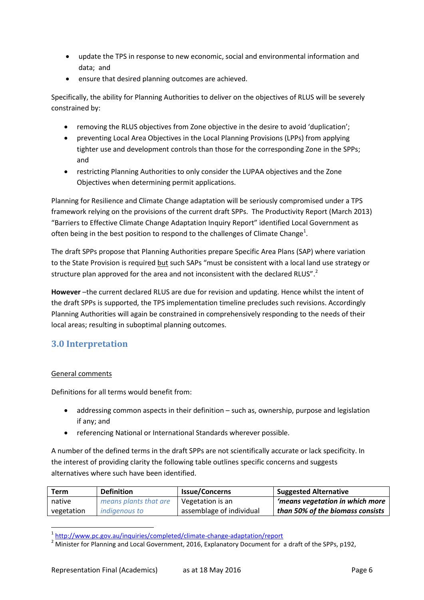- update the TPS in response to new economic, social and environmental information and data; and
- ensure that desired planning outcomes are achieved.

Specifically, the ability for Planning Authorities to deliver on the objectives of RLUS will be severely constrained by:

- removing the RLUS objectives from Zone objective in the desire to avoid 'duplication';
- preventing Local Area Objectives in the Local Planning Provisions (LPPs) from applying tighter use and development controls than those for the corresponding Zone in the SPPs; and
- restricting Planning Authorities to only consider the LUPAA objectives and the Zone Objectives when determining permit applications.

Planning for Resilience and Climate Change adaptation will be seriously compromised under a TPS framework relying on the provisions of the current draft SPPs. The Productivity Report (March 2013) "Barriers to Effective Climate Change Adaptation Inquiry Report" identified Local Government as often being in the best position to respond to the challenges of Climate Change<sup>1</sup>.

The draft SPPs propose that Planning Authorities prepare Specific Area Plans (SAP) where variation to the State Provision is required but such SAPs "must be consistent with a local land use strategy or structure plan approved for the area and not inconsistent with the declared RLUS".<sup>2</sup>

**However** –the current declared RLUS are due for revision and updating. Hence whilst the intent of the draft SPPs is supported, the TPS implementation timeline precludes such revisions. Accordingly Planning Authorities will again be constrained in comprehensively responding to the needs of their local areas; resulting in suboptimal planning outcomes.

# <span id="page-6-0"></span>**3.0 Interpretation**

#### General comments

Definitions for all terms would benefit from:

- addressing common aspects in their definition such as, ownership, purpose and legislation if any; and
- referencing National or International Standards wherever possible.

A number of the defined terms in the draft SPPs are not scientifically accurate or lack specificity. In the interest of providing clarity the following table outlines specific concerns and suggests alternatives where such have been identified.

| Term       | <b>Definition</b>     | <b>Issue/Concerns</b>    | <b>Suggested Alternative</b>     |
|------------|-----------------------|--------------------------|----------------------------------|
| native     | means plants that are | Vegetation is an         | 'means vegetation in which more  |
| vegetation | <i>indigenous to</i>  | assemblage of individual | than 50% of the biomass consists |

 1 <http://www.pc.gov.au/inquiries/completed/climate-change-adaptation/report>

<sup>&</sup>lt;sup>2</sup> Minister for Planning and Local Government, 2016, Explanatory Document for a draft of the SPPs, p192,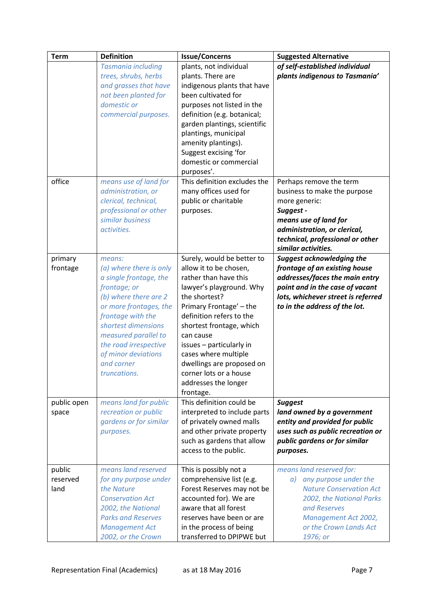| plants, not individual<br>of self-established individual<br><b>Tasmania including</b>          |  |
|------------------------------------------------------------------------------------------------|--|
|                                                                                                |  |
| trees, shrubs, herbs<br>plants indigenous to Tasmania'<br>plants. There are                    |  |
| and grasses that have<br>indigenous plants that have                                           |  |
| been cultivated for<br>not been planted for                                                    |  |
| domestic or<br>purposes not listed in the                                                      |  |
| commercial purposes.<br>definition (e.g. botanical;                                            |  |
| garden plantings, scientific                                                                   |  |
| plantings, municipal                                                                           |  |
| amenity plantings).                                                                            |  |
| Suggest excising 'for                                                                          |  |
| domestic or commercial                                                                         |  |
| purposes'.                                                                                     |  |
| office<br>This definition excludes the<br>means use of land for<br>Perhaps remove the term     |  |
| administration, or<br>many offices used for<br>business to make the purpose                    |  |
| clerical, technical,<br>public or charitable<br>more generic:                                  |  |
| professional or other<br>Suggest -<br>purposes.                                                |  |
| similar business<br>means use of land for                                                      |  |
| activities.<br>administration, or clerical,                                                    |  |
| technical, professional or other                                                               |  |
| similar activities.                                                                            |  |
| Surely, would be better to<br><b>Suggest acknowledging the</b><br>primary<br>means:            |  |
| allow it to be chosen,<br>frontage of an existing house<br>frontage<br>(a) where there is only |  |
| rather than have this<br>addresses/faces the main entry<br>a single frontage, the              |  |
| point and in the case of vacant<br>frontage; or<br>lawyer's playground. Why                    |  |
| (b) where there are 2<br>the shortest?<br>lots, whichever street is referred                   |  |
| Primary Frontage' - the<br>to in the address of the lot.<br>or more frontages, the             |  |
| frontage with the<br>definition refers to the                                                  |  |
| shortest dimensions<br>shortest frontage, which                                                |  |
| measured parallel to<br>can cause                                                              |  |
| the road irrespective<br>issues - particularly in                                              |  |
| of minor deviations<br>cases where multiple                                                    |  |
| and corner<br>dwellings are proposed on                                                        |  |
| truncations.<br>corner lots or a house                                                         |  |
|                                                                                                |  |
| addresses the longer<br>frontage.                                                              |  |
| This definition could be<br>means land for public<br><b>Suggest</b><br>public open             |  |
| recreation or public<br>interpreted to include parts<br>land owned by a government<br>space    |  |
| gardens or for similar<br>of privately owned malls<br>entity and provided for public           |  |
| and other private property<br>uses such as public recreation or<br>purposes.                   |  |
| such as gardens that allow<br>public gardens or for similar                                    |  |
| access to the public.<br>purposes.                                                             |  |
|                                                                                                |  |
| means land reserved<br>public<br>This is possibly not a<br>means land reserved for:            |  |
| comprehensive list (e.g.<br>any purpose under the<br>reserved<br>for any purpose under<br>a)   |  |
| <b>Nature Conservation Act</b><br>land<br>the Nature<br>Forest Reserves may not be             |  |
| accounted for). We are<br><b>Conservation Act</b><br>2002, the National Parks                  |  |
| 2002, the National<br>aware that all forest<br>and Reserves                                    |  |
| <b>Parks and Reserves</b><br>reserves have been or are<br>Management Act 2002,                 |  |
| in the process of being<br>or the Crown Lands Act<br><b>Management Act</b>                     |  |
| transferred to DPIPWE but<br>2002, or the Crown<br>1976; or                                    |  |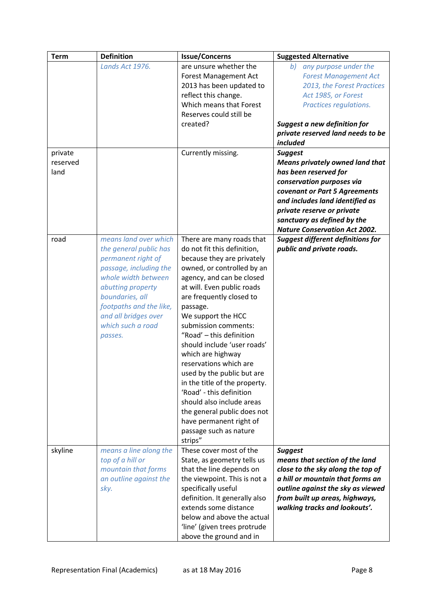| <b>Term</b>      | <b>Definition</b>                                                                                                                                                                                                                                 | <b>Issue/Concerns</b>                                                                                                                                                                                                                                                                                                                                                                                                                                                                                                                                                                                  | <b>Suggested Alternative</b>                                                                                                                                                                                                                                          |
|------------------|---------------------------------------------------------------------------------------------------------------------------------------------------------------------------------------------------------------------------------------------------|--------------------------------------------------------------------------------------------------------------------------------------------------------------------------------------------------------------------------------------------------------------------------------------------------------------------------------------------------------------------------------------------------------------------------------------------------------------------------------------------------------------------------------------------------------------------------------------------------------|-----------------------------------------------------------------------------------------------------------------------------------------------------------------------------------------------------------------------------------------------------------------------|
| private          | Lands Act 1976.                                                                                                                                                                                                                                   | are unsure whether the<br>Forest Management Act<br>2013 has been updated to<br>reflect this change.<br>Which means that Forest<br>Reserves could still be<br>created?<br>Currently missing.                                                                                                                                                                                                                                                                                                                                                                                                            | any purpose under the<br>b)<br><b>Forest Management Act</b><br>2013, the Forest Practices<br>Act 1985, or Forest<br>Practices regulations.<br>Suggest a new definition for<br>private reserved land needs to be<br>included<br><b>Suggest</b>                         |
| reserved<br>land |                                                                                                                                                                                                                                                   |                                                                                                                                                                                                                                                                                                                                                                                                                                                                                                                                                                                                        | <b>Means privately owned land that</b><br>has been reserved for<br>conservation purposes via<br>covenant or Part 5 Agreements<br>and includes land identified as<br>private reserve or private<br>sanctuary as defined by the<br><b>Nature Conservation Act 2002.</b> |
| road             | means land over which<br>the general public has<br>permanent right of<br>passage, including the<br>whole width between<br>abutting property<br>boundaries, all<br>footpaths and the like,<br>and all bridges over<br>which such a road<br>passes. | There are many roads that<br>do not fit this definition,<br>because they are privately<br>owned, or controlled by an<br>agency, and can be closed<br>at will. Even public roads<br>are frequently closed to<br>passage.<br>We support the HCC<br>submission comments:<br>"Road' - this definition<br>should include 'user roads'<br>which are highway<br>reservations which are<br>used by the public but are<br>in the title of the property.<br>'Road' - this definition<br>should also include areas<br>the general public does not<br>have permanent right of<br>passage such as nature<br>strips" | <b>Suggest different definitions for</b><br>public and private roads.                                                                                                                                                                                                 |
| skyline          | means a line along the<br>top of a hill or<br>mountain that forms<br>an outline against the<br>sky.                                                                                                                                               | These cover most of the<br>State, as geometry tells us<br>that the line depends on<br>the viewpoint. This is not a<br>specifically useful<br>definition. It generally also<br>extends some distance<br>below and above the actual<br>'line' (given trees protrude<br>above the ground and in                                                                                                                                                                                                                                                                                                           | <b>Suggest</b><br>means that section of the land<br>close to the sky along the top of<br>a hill or mountain that forms an<br>outline against the sky as viewed<br>from built up areas, highways,<br>walking tracks and lookouts'.                                     |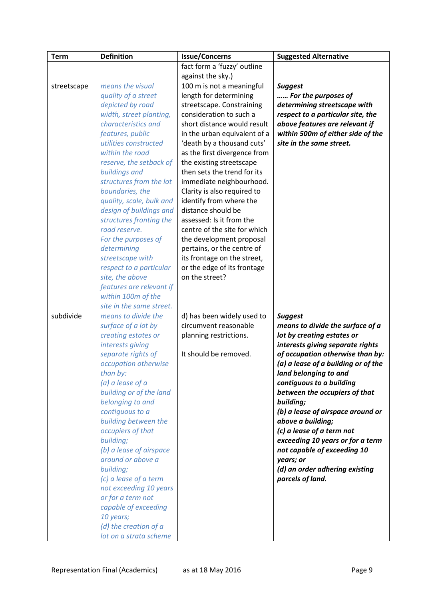| fact form a 'fuzzy' outline<br>against the sky.)                                        |  |
|-----------------------------------------------------------------------------------------|--|
|                                                                                         |  |
|                                                                                         |  |
| means the visual<br>100 m is not a meaningful<br><b>Suggest</b><br>streetscape          |  |
| length for determining<br>quality of a street<br>For the purposes of                    |  |
| depicted by road<br>streetscape. Constraining<br>determining streetscape with           |  |
| consideration to such a<br>width, street planting,<br>respect to a particular site, the |  |
| characteristics and<br>short distance would result<br>above features are relevant if    |  |
| features, public<br>in the urban equivalent of a<br>within 500m of either side of the   |  |
| site in the same street.<br>utilities constructed<br>'death by a thousand cuts'         |  |
| within the road<br>as the first divergence from                                         |  |
| reserve, the setback of<br>the existing streetscape                                     |  |
| buildings and<br>then sets the trend for its                                            |  |
| structures from the lot<br>immediate neighbourhood.                                     |  |
| boundaries, the<br>Clarity is also required to                                          |  |
| quality, scale, bulk and<br>identify from where the<br>distance should be               |  |
| design of buildings and<br>assessed: Is it from the                                     |  |
| structures fronting the<br>road reserve.<br>centre of the site for which                |  |
| For the purposes of<br>the development proposal                                         |  |
| determining<br>pertains, or the centre of                                               |  |
| streetscape with<br>its frontage on the street,                                         |  |
| respect to a particular<br>or the edge of its frontage                                  |  |
| site, the above<br>on the street?                                                       |  |
| features are relevant if                                                                |  |
| within 100m of the                                                                      |  |
| site in the same street.                                                                |  |
| subdivide<br>means to divide the<br>d) has been widely used to<br><b>Suggest</b>        |  |
| circumvent reasonable<br>surface of a lot by<br>means to divide the surface of a        |  |
| creating estates or<br>lot by creating estates or<br>planning restrictions.             |  |
| interests giving<br>interests giving separate rights                                    |  |
| separate rights of<br>It should be removed.<br>of occupation otherwise than by:         |  |
| (a) a lease of a building or of the<br>occupation otherwise                             |  |
| land belonging to and<br>than by:                                                       |  |
| (a) a lease of a<br>contiguous to a building                                            |  |
| building or of the land<br>between the occupiers of that                                |  |
| belonging to and<br>building;                                                           |  |
| contiguous to a<br>(b) a lease of airspace around or                                    |  |
| above a building;<br>building between the                                               |  |
| occupiers of that<br>(c) a lease of a term not                                          |  |
| exceeding 10 years or for a term<br>building;                                           |  |
| (b) a lease of airspace<br>not capable of exceeding 10                                  |  |
| around or above a<br>years; or                                                          |  |
| (d) an order adhering existing<br>building;                                             |  |
| (c) a lease of a term<br>parcels of land.                                               |  |
| not exceeding 10 years<br>or for a term not                                             |  |
| capable of exceeding                                                                    |  |
| 10 years;                                                                               |  |
| (d) the creation of a                                                                   |  |
| lot on a strata scheme                                                                  |  |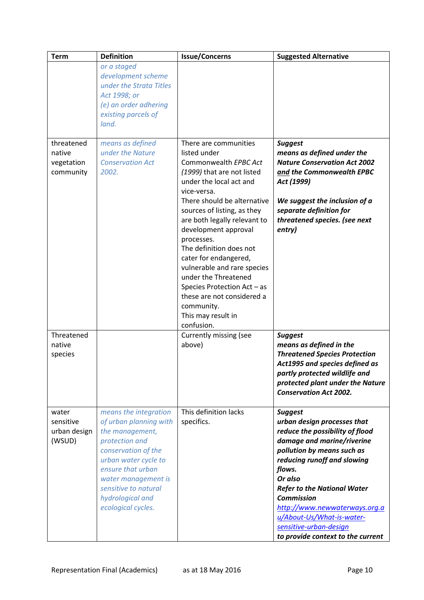| <b>Term</b>                                     | <b>Definition</b>                                                                                                                                                                                                                                 | <b>Issue/Concerns</b>                                                                                                                                                                                                                                                                                                                                      | <b>Suggested Alternative</b>                                                                                                                                                                                                                                                                                                                                                             |
|-------------------------------------------------|---------------------------------------------------------------------------------------------------------------------------------------------------------------------------------------------------------------------------------------------------|------------------------------------------------------------------------------------------------------------------------------------------------------------------------------------------------------------------------------------------------------------------------------------------------------------------------------------------------------------|------------------------------------------------------------------------------------------------------------------------------------------------------------------------------------------------------------------------------------------------------------------------------------------------------------------------------------------------------------------------------------------|
|                                                 | or a staged<br>development scheme<br>under the Strata Titles<br>Act 1998; or<br>(e) an order adhering<br>existing parcels of<br>land.                                                                                                             |                                                                                                                                                                                                                                                                                                                                                            |                                                                                                                                                                                                                                                                                                                                                                                          |
| threatened<br>native<br>vegetation<br>community | means as defined<br>under the Nature<br><b>Conservation Act</b><br>2002.                                                                                                                                                                          | There are communities<br>listed under<br>Commonwealth EPBC Act<br>(1999) that are not listed<br>under the local act and<br>vice-versa.                                                                                                                                                                                                                     | <b>Suggest</b><br>means as defined under the<br><b>Nature Conservation Act 2002</b><br>and the Commonwealth EPBC<br>Act (1999)                                                                                                                                                                                                                                                           |
|                                                 |                                                                                                                                                                                                                                                   | There should be alternative<br>sources of listing, as they<br>are both legally relevant to<br>development approval<br>processes.<br>The definition does not<br>cater for endangered,<br>vulnerable and rare species<br>under the Threatened<br>Species Protection Act - as<br>these are not considered a<br>community.<br>This may result in<br>confusion. | We suggest the inclusion of a<br>separate definition for<br>threatened species. (see next<br>entry)                                                                                                                                                                                                                                                                                      |
| Threatened<br>native<br>species                 |                                                                                                                                                                                                                                                   | Currently missing (see<br>above)                                                                                                                                                                                                                                                                                                                           | <b>Suggest</b><br>means as defined in the<br><b>Threatened Species Protection</b><br>Act1995 and species defined as<br>partly protected wildlife and<br>protected plant under the Nature<br><b>Conservation Act 2002.</b>                                                                                                                                                                |
| water<br>sensitive<br>urban design<br>(WSUD)    | means the integration<br>of urban planning with<br>the management,<br>protection and<br>conservation of the<br>urban water cycle to<br>ensure that urban<br>water management is<br>sensitive to natural<br>hydrological and<br>ecological cycles. | This definition lacks<br>specifics.                                                                                                                                                                                                                                                                                                                        | <b>Suggest</b><br>urban design processes that<br>reduce the possibility of flood<br>damage and marine/riverine<br>pollution by means such as<br>reducing runoff and slowing<br>flows.<br>Or also<br><b>Refer to the National Water</b><br><b>Commission</b><br>http://www.newwaterways.org.a<br>u/About-Us/What-is-water-<br>sensitive-urban-design<br>to provide context to the current |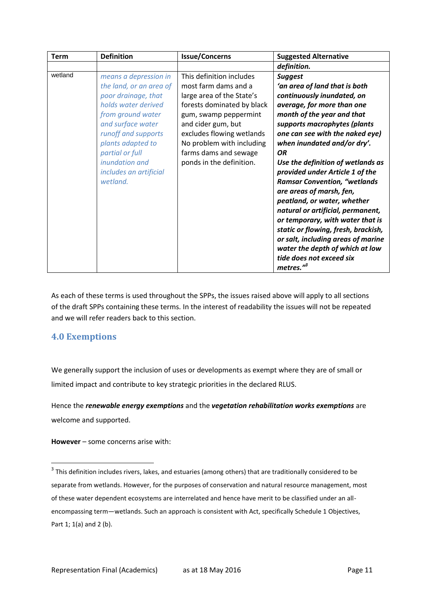As each of these terms is used throughout the SPPs, the issues raised above will apply to all sections of the draft SPPs containing these terms. In the interest of readability the issues will not be repeated and we will refer readers back to this section.

## <span id="page-11-0"></span>**4.0 Exemptions**

**.** 

We generally support the inclusion of uses or developments as exempt where they are of small or limited impact and contribute to key strategic priorities in the declared RLUS.

Hence the *renewable energy exemptions* and the *vegetation rehabilitation works exemptions* are welcome and supported.

**However** – some concerns arise with:

 $3$  This definition includes rivers, lakes, and estuaries (among others) that are traditionally considered to be separate from wetlands. However, for the purposes of conservation and natural resource management, most of these water dependent ecosystems are interrelated and hence have merit to be classified under an allencompassing term—wetlands. Such an approach is consistent with Act, specifically Schedule 1 Objectives, Part 1; 1(a) and 2 (b).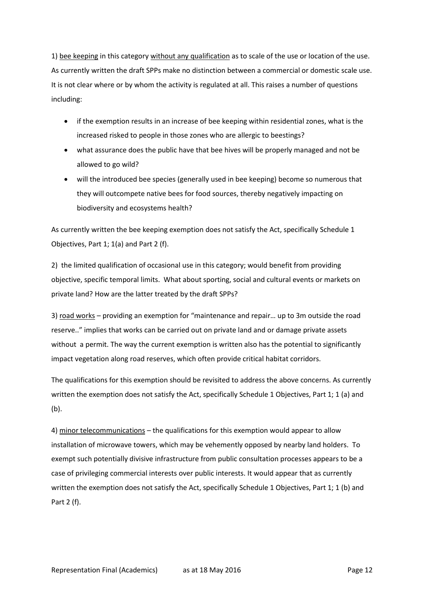1) bee keeping in this category without any qualification as to scale of the use or location of the use. As currently written the draft SPPs make no distinction between a commercial or domestic scale use. It is not clear where or by whom the activity is regulated at all. This raises a number of questions including:

- if the exemption results in an increase of bee keeping within residential zones, what is the increased risked to people in those zones who are allergic to beestings?
- what assurance does the public have that bee hives will be properly managed and not be allowed to go wild?
- will the introduced bee species (generally used in bee keeping) become so numerous that they will outcompete native bees for food sources, thereby negatively impacting on biodiversity and ecosystems health?

As currently written the bee keeping exemption does not satisfy the Act, specifically Schedule 1 Objectives, Part 1; 1(a) and Part 2 (f).

2) the limited qualification of occasional use in this category; would benefit from providing objective, specific temporal limits. What about sporting, social and cultural events or markets on private land? How are the latter treated by the draft SPPs?

3) road works – providing an exemption for "maintenance and repair… up to 3m outside the road reserve.." implies that works can be carried out on private land and or damage private assets without a permit. The way the current exemption is written also has the potential to significantly impact vegetation along road reserves, which often provide critical habitat corridors.

The qualifications for this exemption should be revisited to address the above concerns. As currently written the exemption does not satisfy the Act, specifically Schedule 1 Objectives, Part 1; 1 (a) and (b).

4) minor telecommunications – the qualifications for this exemption would appear to allow installation of microwave towers, which may be vehemently opposed by nearby land holders. To exempt such potentially divisive infrastructure from public consultation processes appears to be a case of privileging commercial interests over public interests. It would appear that as currently written the exemption does not satisfy the Act, specifically Schedule 1 Objectives, Part 1; 1 (b) and Part 2 (f).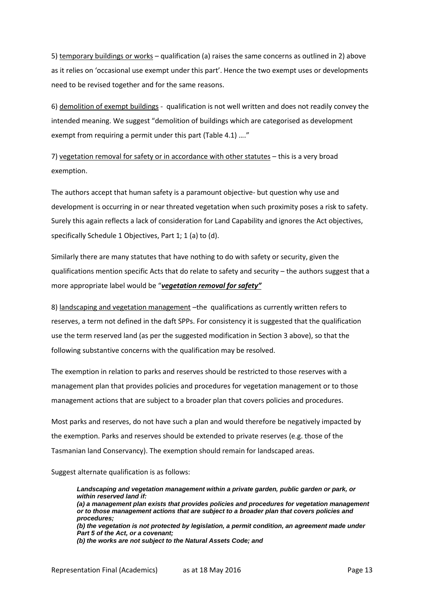5) temporary buildings or works – qualification (a) raises the same concerns as outlined in 2) above as it relies on 'occasional use exempt under this part'. Hence the two exempt uses or developments need to be revised together and for the same reasons.

6) demolition of exempt buildings - qualification is not well written and does not readily convey the intended meaning. We suggest "demolition of buildings which are categorised as development exempt from requiring a permit under this part (Table 4.1) …."

7) vegetation removal for safety or in accordance with other statutes – this is a very broad exemption.

The authors accept that human safety is a paramount objective- but question why use and development is occurring in or near threated vegetation when such proximity poses a risk to safety. Surely this again reflects a lack of consideration for Land Capability and ignores the Act objectives, specifically Schedule 1 Objectives, Part 1; 1 (a) to (d).

Similarly there are many statutes that have nothing to do with safety or security, given the qualifications mention specific Acts that do relate to safety and security – the authors suggest that a more appropriate label would be "*vegetation removal for safety"*

8) landscaping and vegetation management –the qualifications as currently written refers to reserves, a term not defined in the daft SPPs. For consistency it is suggested that the qualification use the term reserved land (as per the suggested modification in Section 3 above), so that the following substantive concerns with the qualification may be resolved.

The exemption in relation to parks and reserves should be restricted to those reserves with a management plan that provides policies and procedures for vegetation management or to those management actions that are subject to a broader plan that covers policies and procedures.

Most parks and reserves, do not have such a plan and would therefore be negatively impacted by the exemption. Parks and reserves should be extended to private reserves (e.g. those of the Tasmanian land Conservancy). The exemption should remain for landscaped areas.

Suggest alternate qualification is as follows:

*Landscaping and vegetation management within a private garden, public garden or park, or within reserved land if: (a) a management plan exists that provides policies and procedures for vegetation management or to those management actions that are subject to a broader plan that covers policies and procedures; (b) the vegetation is not protected by legislation, a permit condition, an agreement made under Part 5 of the Act, or a covenant; (b) the works are not subject to the Natural Assets Code; and*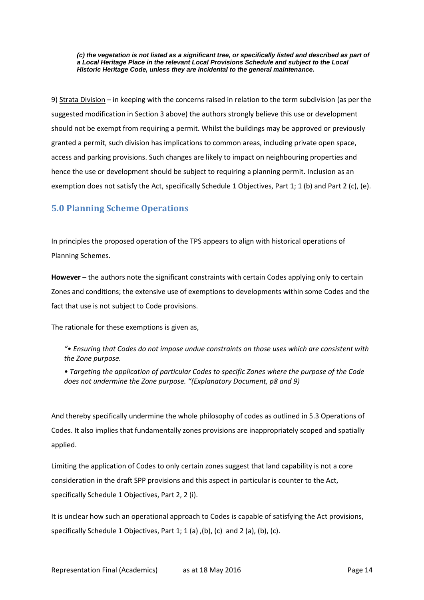*(c) the vegetation is not listed as a significant tree, or specifically listed and described as part of a Local Heritage Place in the relevant Local Provisions Schedule and subject to the Local Historic Heritage Code, unless they are incidental to the general maintenance.* 

9) Strata Division – in keeping with the concerns raised in relation to the term subdivision (as per the suggested modification in Section 3 above) the authors strongly believe this use or development should not be exempt from requiring a permit. Whilst the buildings may be approved or previously granted a permit, such division has implications to common areas, including private open space, access and parking provisions. Such changes are likely to impact on neighbouring properties and hence the use or development should be subject to requiring a planning permit. Inclusion as an exemption does not satisfy the Act, specifically Schedule 1 Objectives, Part 1; 1 (b) and Part 2 (c), (e).

# <span id="page-14-0"></span>**5.0 Planning Scheme Operations**

In principles the proposed operation of the TPS appears to align with historical operations of Planning Schemes.

**However** – the authors note the significant constraints with certain Codes applying only to certain Zones and conditions; the extensive use of exemptions to developments within some Codes and the fact that use is not subject to Code provisions.

The rationale for these exemptions is given as,

*"• Ensuring that Codes do not impose undue constraints on those uses which are consistent with the Zone purpose.* 

*• Targeting the application of particular Codes to specific Zones where the purpose of the Code does not undermine the Zone purpose. "(Explanatory Document, p8 and 9)*

And thereby specifically undermine the whole philosophy of codes as outlined in 5.3 Operations of Codes. It also implies that fundamentally zones provisions are inappropriately scoped and spatially applied.

Limiting the application of Codes to only certain zones suggest that land capability is not a core consideration in the draft SPP provisions and this aspect in particular is counter to the Act, specifically Schedule 1 Objectives, Part 2, 2 (i).

It is unclear how such an operational approach to Codes is capable of satisfying the Act provisions, specifically Schedule 1 Objectives, Part 1; 1 (a) ,(b), (c) and 2 (a), (b), (c).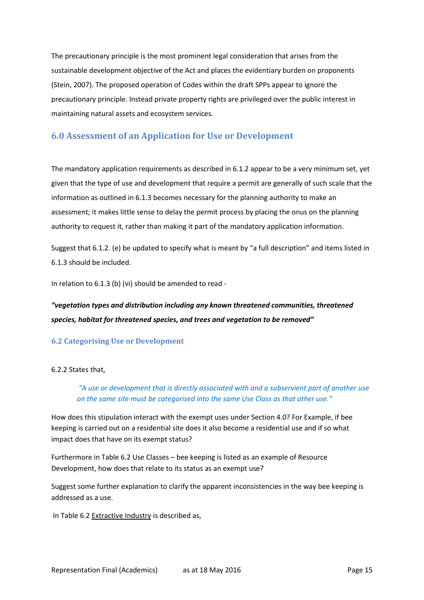The precautionary principle is the most prominent legal consideration that arises from the sustainable development objective of the Act and places the evidentiary burden on proponents (Stein, 2007). The proposed operation of Codes within the draft SPPs appear to ignore the precautionary principle. Instead private property rights are privileged over the public interest in maintaining natural assets and ecosystem services.

# <span id="page-15-0"></span>**6.0 Assessment of an Application for Use or Development**

The mandatory application requirements as described in 6.1.2 appear to be a very minimum set, yet given that the type of use and development that require a permit are generally of such scale that the information as outlined in 6.1.3 becomes necessary for the planning authority to make an assessment; it makes little sense to delay the permit process by placing the onus on the planning authority to request it, rather than making it part of the mandatory application information.

Suggest that 6.1.2. (e) be updated to specify what is meant by "a full description" and items listed in 6.1.3 should be included.

In relation to 6.1.3 (b) (vi) should be amended to read -

# *"vegetation types and distribution including any known threatened communities, threatened species, habitat for threatened species, and trees and vegetation to be removed"*

#### <span id="page-15-1"></span>**6.2 Categorising Use or Development**

#### 6.2.2 States that,

*"A use or development that is directly associated with and a subservient part of another use on the same site must be categorised into the same Use Class as that other use."*

How does this stipulation interact with the exempt uses under Section 4.0? For Example, if bee keeping is carried out on a residential site does it also become a residential use and if so what impact does that have on its exempt status?

Furthermore in Table 6.2 Use Classes – bee keeping is listed as an example of Resource Development, how does that relate to its status as an exempt use?

Suggest some further explanation to clarify the apparent inconsistencies in the way bee keeping is addressed as a use.

In Table 6.2 Extractive Industry is described as,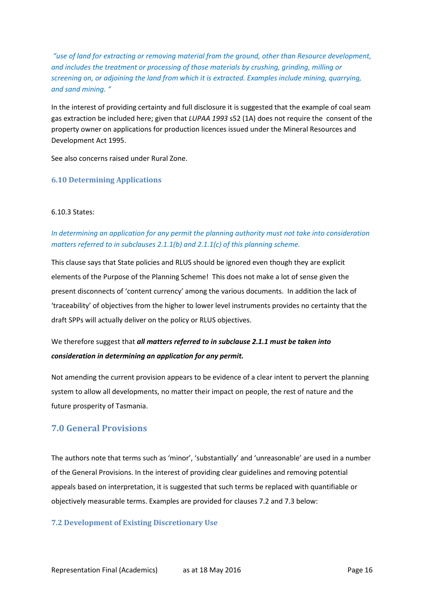*"use of land for extracting or removing material from the ground, other than Resource development, and includes the treatment or processing of those materials by crushing, grinding, milling or screening on, or adjoining the land from which it is extracted. Examples include mining, quarrying, and sand mining. "*

In the interest of providing certainty and full disclosure it is suggested that the example of coal seam gas extraction be included here; given that *LUPAA 1993* s52 (1A) does not require the consent of the property owner on applications for production licences issued under the Mineral Resources and Development Act 1995.

See also concerns raised under Rural Zone.

#### <span id="page-16-0"></span>**6.10 Determining Applications**

#### 6.10.3 States:

## *In determining an application for any permit the planning authority must not take into consideration matters referred to in subclauses 2.1.1(b) and 2.1.1(c) of this planning scheme.*

This clause says that State policies and RLUS should be ignored even though they are explicit elements of the Purpose of the Planning Scheme! This does not make a lot of sense given the present disconnects of 'content currency' among the various documents. In addition the lack of 'traceability' of objectives from the higher to lower level instruments provides no certainty that the draft SPPs will actually deliver on the policy or RLUS objectives.

# We therefore suggest that *all matters referred to in subclause 2.1.1 must be taken into consideration in determining an application for any permit.*

Not amending the current provision appears to be evidence of a clear intent to pervert the planning system to allow all developments, no matter their impact on people, the rest of nature and the future prosperity of Tasmania.

## <span id="page-16-1"></span>**7.0 General Provisions**

The authors note that terms such as 'minor', 'substantially' and 'unreasonable' are used in a number of the General Provisions. In the interest of providing clear guidelines and removing potential appeals based on interpretation, it is suggested that such terms be replaced with quantifiable or objectively measurable terms. Examples are provided for clauses 7.2 and 7.3 below:

#### <span id="page-16-2"></span>**7.2 Development of Existing Discretionary Use**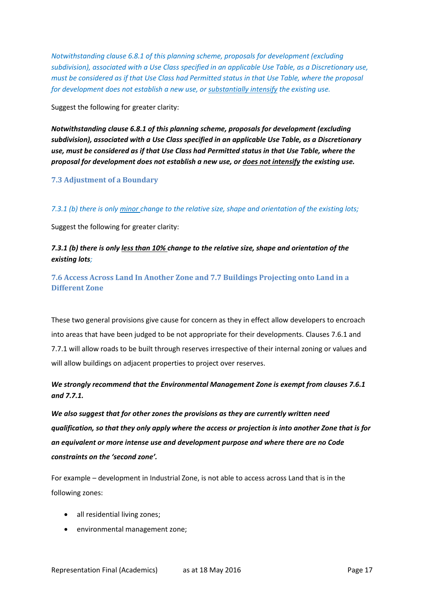*Notwithstanding clause 6.8.1 of this planning scheme, proposals for development (excluding subdivision), associated with a Use Class specified in an applicable Use Table, as a Discretionary use, must be considered as if that Use Class had Permitted status in that Use Table, where the proposal for development does not establish a new use, or substantially intensify the existing use.*

Suggest the following for greater clarity:

*Notwithstanding clause 6.8.1 of this planning scheme, proposals for development (excluding subdivision), associated with a Use Class specified in an applicable Use Table, as a Discretionary use, must be considered as if that Use Class had Permitted status in that Use Table, where the proposal for development does not establish a new use, or does not intensify the existing use.*

#### <span id="page-17-0"></span>**7.3 Adjustment of a Boundary**

*7.3.1 (b) there is only minor change to the relative size, shape and orientation of the existing lots;* 

Suggest the following for greater clarity:

## *7.3.1 (b) there is only less than 10% change to the relative size, shape and orientation of the existing lots;*

<span id="page-17-1"></span>**7.6 Access Across Land In Another Zone and 7.7 Buildings Projecting onto Land in a Different Zone**

These two general provisions give cause for concern as they in effect allow developers to encroach into areas that have been judged to be not appropriate for their developments. Clauses 7.6.1 and 7.7.1 will allow roads to be built through reserves irrespective of their internal zoning or values and will allow buildings on adjacent properties to project over reserves.

## *We strongly recommend that the Environmental Management Zone is exempt from clauses 7.6.1 and 7.7.1.*

*We also suggest that for other zones the provisions as they are currently written need qualification, so that they only apply where the access or projection is into another Zone that is for an equivalent or more intense use and development purpose and where there are no Code constraints on the 'second zone'.*

For example – development in Industrial Zone, is not able to access across Land that is in the following zones:

- all residential living zones;
- environmental management zone;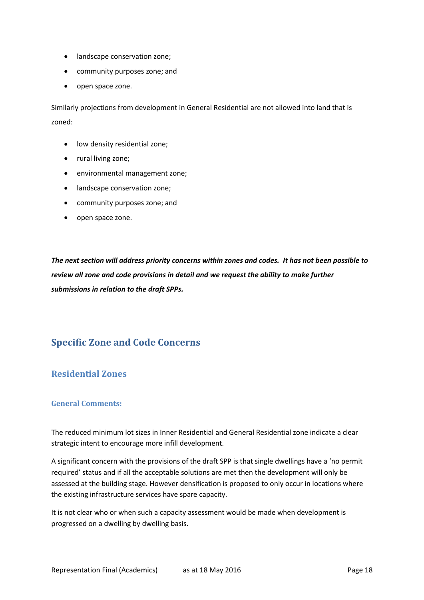- landscape conservation zone;
- community purposes zone; and
- open space zone.

Similarly projections from development in General Residential are not allowed into land that is zoned:

- **•** low density residential zone;
- rural living zone;
- environmental management zone;
- **•** landscape conservation zone;
- community purposes zone; and
- open space zone.

*The next section will address priority concerns within zones and codes. It has not been possible to review all zone and code provisions in detail and we request the ability to make further submissions in relation to the draft SPPs.*

# <span id="page-18-0"></span>**Specific Zone and Code Concerns**

## <span id="page-18-1"></span>**Residential Zones**

#### <span id="page-18-2"></span>**General Comments:**

The reduced minimum lot sizes in Inner Residential and General Residential zone indicate a clear strategic intent to encourage more infill development.

A significant concern with the provisions of the draft SPP is that single dwellings have a 'no permit required' status and if all the acceptable solutions are met then the development will only be assessed at the building stage. However densification is proposed to only occur in locations where the existing infrastructure services have spare capacity.

It is not clear who or when such a capacity assessment would be made when development is progressed on a dwelling by dwelling basis.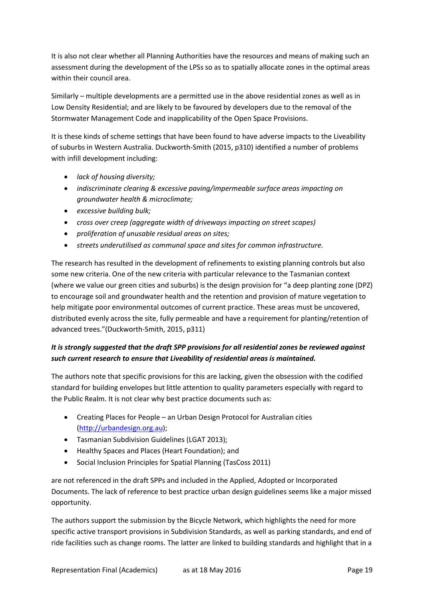It is also not clear whether all Planning Authorities have the resources and means of making such an assessment during the development of the LPSs so as to spatially allocate zones in the optimal areas within their council area.

Similarly – multiple developments are a permitted use in the above residential zones as well as in Low Density Residential; and are likely to be favoured by developers due to the removal of the Stormwater Management Code and inapplicability of the Open Space Provisions.

It is these kinds of scheme settings that have been found to have adverse impacts to the Liveability of suburbs in Western Australia. Duckworth-Smith (2015, p310) identified a number of problems with infill development including:

- *lack of housing diversity;*
- *indiscriminate clearing & excessive paving/impermeable surface areas impacting on groundwater health & microclimate;*
- *excessive building bulk;*
- *cross over creep (aggregate width of driveways impacting on street scapes)*
- *proliferation of unusable residual areas on sites;*
- *streets underutilised as communal space and sites for common infrastructure.*

The research has resulted in the development of refinements to existing planning controls but also some new criteria. One of the new criteria with particular relevance to the Tasmanian context (where we value our green cities and suburbs) is the design provision for "a deep planting zone (DPZ) to encourage soil and groundwater health and the retention and provision of mature vegetation to help mitigate poor environmental outcomes of current practice. These areas must be uncovered, distributed evenly across the site, fully permeable and have a requirement for planting/retention of advanced trees."(Duckworth-Smith, 2015, p311)

# *It is strongly suggested that the draft SPP provisions for all residential zones be reviewed against such current research to ensure that Liveability of residential areas is maintained.*

The authors note that specific provisions for this are lacking, given the obsession with the codified standard for building envelopes but little attention to quality parameters especially with regard to the Public Realm. It is not clear why best practice documents such as:

- Creating Places for People an Urban Design Protocol for Australian cities [\(http://urbandesign.org.au\)](http://urbandesign.org.au/);
- Tasmanian Subdivision Guidelines (LGAT 2013);
- Healthy Spaces and Places (Heart Foundation); and
- Social Inclusion Principles for Spatial Planning (TasCoss 2011)

are not referenced in the draft SPPs and included in the Applied, Adopted or Incorporated Documents. The lack of reference to best practice urban design guidelines seems like a major missed opportunity.

The authors support the submission by the Bicycle Network, which highlights the need for more specific active transport provisions in Subdivision Standards, as well as parking standards, and end of ride facilities such as change rooms. The latter are linked to building standards and highlight that in a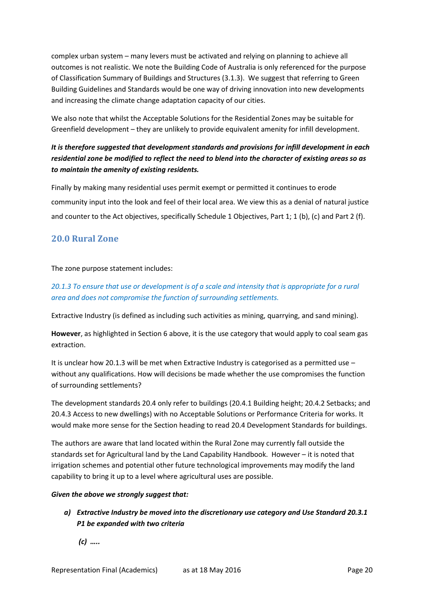complex urban system – many levers must be activated and relying on planning to achieve all outcomes is not realistic. We note the Building Code of Australia is only referenced for the purpose of Classification Summary of Buildings and Structures (3.1.3). We suggest that referring to Green Building Guidelines and Standards would be one way of driving innovation into new developments and increasing the climate change adaptation capacity of our cities.

We also note that whilst the Acceptable Solutions for the Residential Zones may be suitable for Greenfield development – they are unlikely to provide equivalent amenity for infill development.

# *It is therefore suggested that development standards and provisions for infill development in each residential zone be modified to reflect the need to blend into the character of existing areas so as to maintain the amenity of existing residents.*

Finally by making many residential uses permit exempt or permitted it continues to erode community input into the look and feel of their local area. We view this as a denial of natural justice and counter to the Act objectives, specifically Schedule 1 Objectives, Part 1; 1 (b), (c) and Part 2 (f).

# <span id="page-20-0"></span>**20.0 Rural Zone**

The zone purpose statement includes:

# *20.1.3 To ensure that use or development is of a scale and intensity that is appropriate for a rural area and does not compromise the function of surrounding settlements.*

Extractive Industry (is defined as including such activities as mining, quarrying, and sand mining).

**However**, as highlighted in Section 6 above, it is the use category that would apply to coal seam gas extraction.

It is unclear how 20.1.3 will be met when Extractive Industry is categorised as a permitted use – without any qualifications. How will decisions be made whether the use compromises the function of surrounding settlements?

The development standards 20.4 only refer to buildings (20.4.1 Building height; 20.4.2 Setbacks; and 20.4.3 Access to new dwellings) with no Acceptable Solutions or Performance Criteria for works. It would make more sense for the Section heading to read 20.4 Development Standards for buildings.

The authors are aware that land located within the Rural Zone may currently fall outside the standards set for Agricultural land by the Land Capability Handbook. However – it is noted that irrigation schemes and potential other future technological improvements may modify the land capability to bring it up to a level where agricultural uses are possible.

#### *Given the above we strongly suggest that:*

*a) Extractive Industry be moved into the discretionary use category and Use Standard 20.3.1 P1 be expanded with two criteria*

*(c) …..*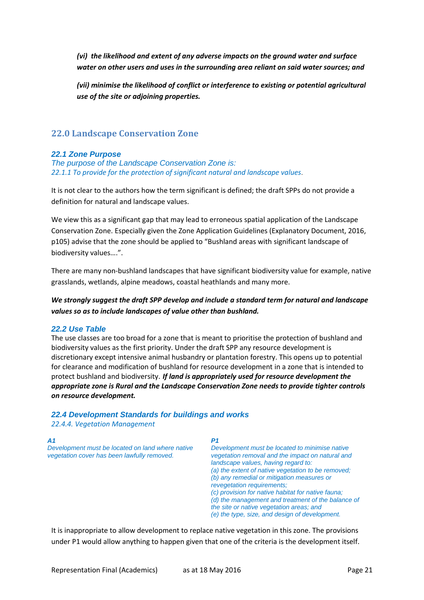*(vi) the likelihood and extent of any adverse impacts on the ground water and surface water on other users and uses in the surrounding area reliant on said water sources; and*

*(vii) minimise the likelihood of conflict or interference to existing or potential agricultural use of the site or adjoining properties.*

# <span id="page-21-0"></span>**22.0 Landscape Conservation Zone**

#### *22.1 Zone Purpose*

*The purpose of the Landscape Conservation Zone is: 22.1.1 To provide for the protection of significant natural and landscape values*.

It is not clear to the authors how the term significant is defined; the draft SPPs do not provide a definition for natural and landscape values.

We view this as a significant gap that may lead to erroneous spatial application of the Landscape Conservation Zone. Especially given the Zone Application Guidelines (Explanatory Document, 2016, p105) advise that the zone should be applied to "Bushland areas with significant landscape of biodiversity values….".

There are many non-bushland landscapes that have significant biodiversity value for example, native grasslands, wetlands, alpine meadows, coastal heathlands and many more.

*We strongly suggest the draft SPP develop and include a standard term for natural and landscape values so as to include landscapes of value other than bushland.*

#### *22.2 Use Table*

The use classes are too broad for a zone that is meant to prioritise the protection of bushland and biodiversity values as the first priority. Under the draft SPP any resource development is discretionary except intensive animal husbandry or plantation forestry. This opens up to potential for clearance and modification of bushland for resource development in a zone that is intended to protect bushland and biodiversity. *If land is appropriately used for resource development the appropriate zone is Rural and the Landscape Conservation Zone needs to provide tighter controls on resource development.*

#### *22.4 Development Standards for buildings and works*

*22.4.4. Vegetation Management*

#### *A1*

*Development must be located on land where native vegetation cover has been lawfully removed.* 

#### *P1*

*Development must be located to minimise native vegetation removal and the impact on natural and landscape values, having regard to: (a) the extent of native vegetation to be removed; (b) any remedial or mitigation measures or revegetation requirements; (c) provision for native habitat for native fauna; (d) the management and treatment of the balance of the site or native vegetation areas; and (e) the type, size, and design of development.* 

It is inappropriate to allow development to replace native vegetation in this zone. The provisions under P1 would allow anything to happen given that one of the criteria is the development itself.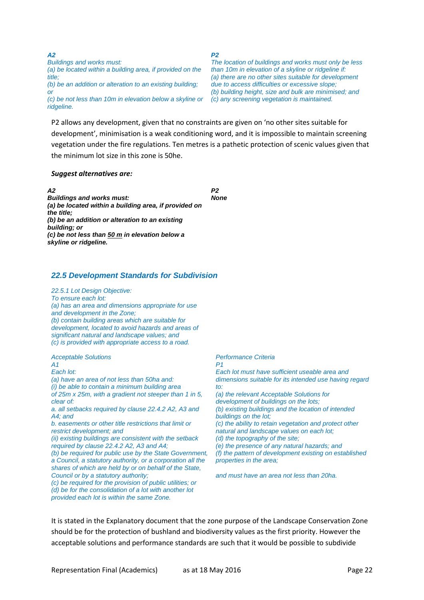*A2 Buildings and works must: (a) be located within a building area, if provided on the title; (b) be an addition or alteration to an existing building; or (c) be not less than 10m in elevation below a skyline or ridgeline.* 

*P2* 

*The location of buildings and works must only be less than 10m in elevation of a skyline or ridgeline if: (a) there are no other sites suitable for development due to access difficulties or excessive slope; (b) building height, size and bulk are minimised; and (c) any screening vegetation is maintained.* 

P2 allows any development, given that no constraints are given on 'no other sites suitable for development', minimisation is a weak conditioning word, and it is impossible to maintain screening vegetation under the fire regulations. Ten metres is a pathetic protection of scenic values given that the minimum lot size in this zone is 50he.

#### *Suggest alternatives are:*

*A2 Buildings and works must: (a) be located within a building area, if provided on the title; (b) be an addition or alteration to an existing building; or (c) be not less than 50 m in elevation below a skyline or ridgeline. P2 None*

#### *22.5 Development Standards for Subdivision*

*22.5.1 Lot Design Objective: To ensure each lot: (a) has an area and dimensions appropriate for use and development in the Zone; (b) contain building areas which are suitable for development, located to avoid hazards and areas of significant natural and landscape values; and (c) is provided with appropriate access to a road.*  Acceptable Solutions *Performance Criteria* 

*A1 Each lot: (a) have an area of not less than 50ha and: (i) be able to contain a minimum building area of 25m x 25m, with a gradient not steeper than 1 in 5, clear of: a. all setbacks required by clause 22.4.2 A2, A3 and A4; and b. easements or other title restrictions that limit or restrict development; and (ii) existing buildings are consistent with the setback required by clause 22.4.2 A2, A3 and A4; (b) be required for public use by the State Government, a Council, a statutory authority, or a corporation all the shares of which are held by or on behalf of the State, Council or by a statutory authority; (c) be required for the provision of public utilities; or (d) be for the consolidation of a lot with another lot provided each lot is within the same Zone.* 

*P1 Each lot must have sufficient useable area and dimensions suitable for its intended use having regard* 

*to: (a) the relevant Acceptable Solutions for development of buildings on the lots; (b) existing buildings and the location of intended buildings on the lot; (c) the ability to retain vegetation and protect other natural and landscape values on each lot; (d) the topography of the site; (e) the presence of any natural hazards; and (f) the pattern of development existing on established properties in the area;* 

*and must have an area not less than 20ha.* 

It is stated in the Explanatory document that the zone purpose of the Landscape Conservation Zone should be for the protection of bushland and biodiversity values as the first priority. However the acceptable solutions and performance standards are such that it would be possible to subdivide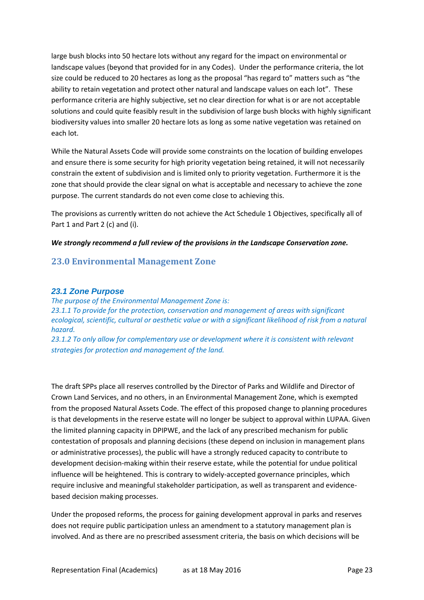large bush blocks into 50 hectare lots without any regard for the impact on environmental or landscape values (beyond that provided for in any Codes). Under the performance criteria, the lot size could be reduced to 20 hectares as long as the proposal "has regard to" matters such as "the ability to retain vegetation and protect other natural and landscape values on each lot". These performance criteria are highly subjective, set no clear direction for what is or are not acceptable solutions and could quite feasibly result in the subdivision of large bush blocks with highly significant biodiversity values into smaller 20 hectare lots as long as some native vegetation was retained on each lot.

While the Natural Assets Code will provide some constraints on the location of building envelopes and ensure there is some security for high priority vegetation being retained, it will not necessarily constrain the extent of subdivision and is limited only to priority vegetation. Furthermore it is the zone that should provide the clear signal on what is acceptable and necessary to achieve the zone purpose. The current standards do not even come close to achieving this.

The provisions as currently written do not achieve the Act Schedule 1 Objectives, specifically all of Part 1 and Part 2 (c) and (i).

#### *We strongly recommend a full review of the provisions in the Landscape Conservation zone.*

## <span id="page-23-0"></span>**23.0 Environmental Management Zone**

#### *23.1 Zone Purpose*

*The purpose of the Environmental Management Zone is: 23.1.1 To provide for the protection, conservation and management of areas with significant ecological, scientific, cultural or aesthetic value or with a significant likelihood of risk from a natural hazard. 23.1.2 To only allow for complementary use or development where it is consistent with relevant* 

*strategies for protection and management of the land.*

The draft SPPs place all reserves controlled by the Director of Parks and Wildlife and Director of Crown Land Services, and no others, in an Environmental Management Zone, which is exempted from the proposed Natural Assets Code. The effect of this proposed change to planning procedures is that developments in the reserve estate will no longer be subject to approval within LUPAA. Given the limited planning capacity in DPIPWE, and the lack of any prescribed mechanism for public contestation of proposals and planning decisions (these depend on inclusion in management plans or administrative processes), the public will have a strongly reduced capacity to contribute to development decision-making within their reserve estate, while the potential for undue political influence will be heightened. This is contrary to widely-accepted governance principles, which require inclusive and meaningful stakeholder participation, as well as transparent and evidencebased decision making processes.

Under the proposed reforms, the process for gaining development approval in parks and reserves does not require public participation unless an amendment to a statutory management plan is involved. And as there are no prescribed assessment criteria, the basis on which decisions will be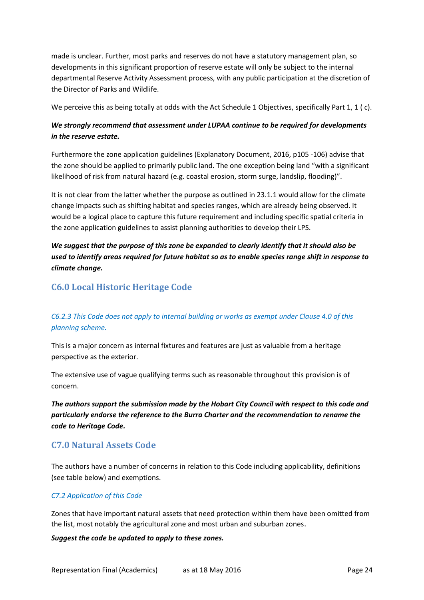made is unclear. Further, most parks and reserves do not have a statutory management plan, so developments in this significant proportion of reserve estate will only be subject to the internal departmental Reserve Activity Assessment process, with any public participation at the discretion of the Director of Parks and Wildlife.

We perceive this as being totally at odds with the Act Schedule 1 Objectives, specifically Part 1, 1 (c).

## *We strongly recommend that assessment under LUPAA continue to be required for developments in the reserve estate.*

Furthermore the zone application guidelines (Explanatory Document, 2016, p105 -106) advise that the zone should be applied to primarily public land. The one exception being land "with a significant likelihood of risk from natural hazard (e.g. coastal erosion, storm surge, landslip, flooding)".

It is not clear from the latter whether the purpose as outlined in 23.1.1 would allow for the climate change impacts such as shifting habitat and species ranges, which are already being observed. It would be a logical place to capture this future requirement and including specific spatial criteria in the zone application guidelines to assist planning authorities to develop their LPS.

*We suggest that the purpose of this zone be expanded to clearly identify that it should also be used to identify areas required for future habitat so as to enable species range shift in response to climate change.*

# <span id="page-24-0"></span>**C6.0 Local Historic Heritage Code**

# *C6.2.3 This Code does not apply to internal building or works as exempt under Clause 4.0 of this planning scheme.*

This is a major concern as internal fixtures and features are just as valuable from a heritage perspective as the exterior.

The extensive use of vague qualifying terms such as reasonable throughout this provision is of concern.

*The authors support the submission made by the Hobart City Council with respect to this code and particularly endorse the reference to the Burra Charter and the recommendation to rename the code to Heritage Code.*

# <span id="page-24-1"></span>**C7.0 Natural Assets Code**

The authors have a number of concerns in relation to this Code including applicability, definitions (see table below) and exemptions.

#### *C7.2 Application of this Code*

Zones that have important natural assets that need protection within them have been omitted from the list, most notably the agricultural zone and most urban and suburban zones.

#### *Suggest the code be updated to apply to these zones.*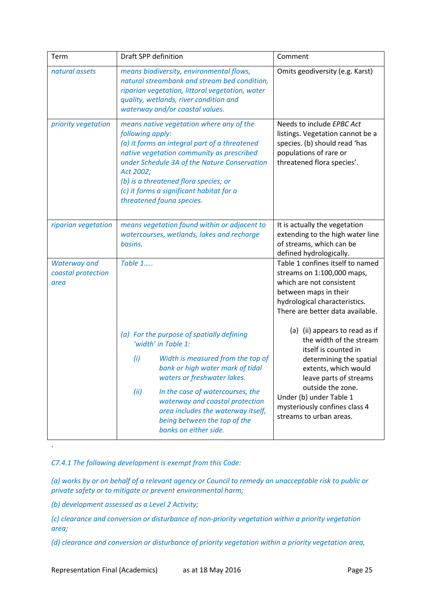| Term                                              | Draft SPP definition                                                                                                                                                                                                                                                                                                                      | Comment                                                                                                                                                                                  |
|---------------------------------------------------|-------------------------------------------------------------------------------------------------------------------------------------------------------------------------------------------------------------------------------------------------------------------------------------------------------------------------------------------|------------------------------------------------------------------------------------------------------------------------------------------------------------------------------------------|
| natural assets                                    | means biodiversity, environmental flows,<br>natural streambank and stream bed condition,<br>riparian vegetation, littoral vegetation, water<br>quality, wetlands, river condition and<br>waterway and/or coastal values.                                                                                                                  | Omits geodiversity (e.g. Karst)                                                                                                                                                          |
| priority vegetation                               | means native vegetation where any of the<br>following apply:<br>(a) it forms an integral part of a threatened<br>native vegetation community as prescribed<br>under Schedule 3A of the Nature Conservation<br>Act 2002;<br>(b) is a threatened flora species; or<br>(c) it forms a significant habitat for a<br>threatened fauna species. | Needs to include EPBC Act<br>listings. Vegetation cannot be a<br>species. (b) should read 'has<br>populations of rare or<br>threatened flora species'.                                   |
| riparian vegetation                               | means vegetation found within or adjacent to<br>watercourses, wetlands, lakes and recharge<br>basins.                                                                                                                                                                                                                                     | It is actually the vegetation<br>extending to the high water line<br>of streams, which can be<br>defined hydrologically.                                                                 |
| <b>Waterway and</b><br>coastal protection<br>area | Table 1                                                                                                                                                                                                                                                                                                                                   | Table 1 confines itself to named<br>streams on 1:100,000 maps,<br>which are not consistent<br>between maps in their<br>hydrological characteristics.<br>There are better data available. |
|                                                   | (a) For the purpose of spatially defining<br>'width' in Table 1:                                                                                                                                                                                                                                                                          | (a) (ii) appears to read as if<br>the width of the stream<br>itself is counted in                                                                                                        |
|                                                   | (i)<br>Width is measured from the top of<br>bank or high water mark of tidal<br>waters or freshwater lakes.                                                                                                                                                                                                                               | determining the spatial<br>extents, which would<br>leave parts of streams                                                                                                                |
|                                                   | (ii)<br>In the case of watercourses, the<br>waterway and coastal protection<br>area includes the waterway itself,<br>being between the top of the<br>banks on either side.                                                                                                                                                                | outside the zone.<br>Under (b) under Table 1<br>mysteriously confines class 4<br>streams to urban areas.                                                                                 |

*C7.4.1 The following development is exempt from this Code:* 

*(a) works by or on behalf of a relevant agency or Council to remedy an unacceptable risk to public or private safety or to mitigate or prevent environmental harm;* 

*(b) development assessed as a Level 2 Activity;* 

.

*(c) clearance and conversion or disturbance of non-priority vegetation within a priority vegetation area;* 

*(d) clearance and conversion or disturbance of priority vegetation within a priority vegetation area,*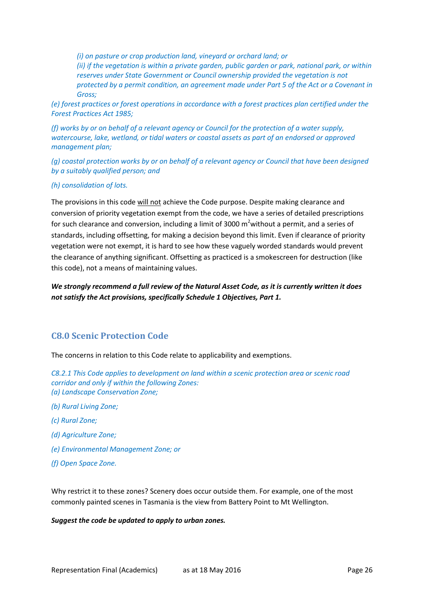*(i) on pasture or crop production land, vineyard or orchard land; or (ii) if the vegetation is within a private garden, public garden or park, national park, or within reserves under State Government or Council ownership provided the vegetation is not protected by a permit condition, an agreement made under Part 5 of the Act or a Covenant in Gross;* 

*(e) forest practices or forest operations in accordance with a forest practices plan certified under the Forest Practices Act 1985;* 

*(f) works by or on behalf of a relevant agency or Council for the protection of a water supply, watercourse, lake, wetland, or tidal waters or coastal assets as part of an endorsed or approved management plan;* 

*(g) coastal protection works by or on behalf of a relevant agency or Council that have been designed by a suitably qualified person; and* 

#### *(h) consolidation of lots.*

The provisions in this code will not achieve the Code purpose. Despite making clearance and conversion of priority vegetation exempt from the code, we have a series of detailed prescriptions for such clearance and conversion, including a limit of 3000  $m^2$  without a permit, and a series of standards, including offsetting, for making a decision beyond this limit. Even if clearance of priority vegetation were not exempt, it is hard to see how these vaguely worded standards would prevent the clearance of anything significant. Offsetting as practiced is a smokescreen for destruction (like this code), not a means of maintaining values.

*We strongly recommend a full review of the Natural Asset Code, as it is currently written it does not satisfy the Act provisions, specifically Schedule 1 Objectives, Part 1.*

# <span id="page-26-0"></span>**C8.0 Scenic Protection Code**

The concerns in relation to this Code relate to applicability and exemptions.

*C8.2.1 This Code applies to development on land within a scenic protection area or scenic road corridor and only if within the following Zones: (a) Landscape Conservation Zone;*

- *(b) Rural Living Zone;*
- *(c) Rural Zone;*
- *(d) Agriculture Zone;*
- *(e) Environmental Management Zone; or*
- *(f) Open Space Zone.*

Why restrict it to these zones? Scenery does occur outside them. For example, one of the most commonly painted scenes in Tasmania is the view from Battery Point to Mt Wellington.

*Suggest the code be updated to apply to urban zones.*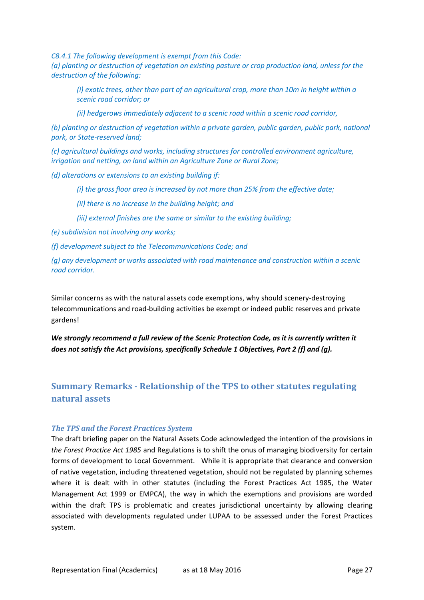*C8.4.1 The following development is exempt from this Code:* 

*(a) planting or destruction of vegetation on existing pasture or crop production land, unless for the destruction of the following:* 

*(i) exotic trees, other than part of an agricultural crop, more than 10m in height within a scenic road corridor; or* 

*(ii) hedgerows immediately adjacent to a scenic road within a scenic road corridor,* 

*(b) planting or destruction of vegetation within a private garden, public garden, public park, national park, or State-reserved land;* 

*(c) agricultural buildings and works, including structures for controlled environment agriculture, irrigation and netting, on land within an Agriculture Zone or Rural Zone;* 

*(d) alterations or extensions to an existing building if:* 

*(i) the gross floor area is increased by not more than 25% from the effective date;* 

*(ii) there is no increase in the building height; and* 

*(iii) external finishes are the same or similar to the existing building;* 

*(e) subdivision not involving any works;* 

*(f) development subject to the Telecommunications Code; and* 

*(g) any development or works associated with road maintenance and construction within a scenic road corridor.* 

Similar concerns as with the natural assets code exemptions, why should scenery-destroying telecommunications and road-building activities be exempt or indeed public reserves and private gardens!

*We strongly recommend a full review of the Scenic Protection Code, as it is currently written it does not satisfy the Act provisions, specifically Schedule 1 Objectives, Part 2 (f) and (g).*

# <span id="page-27-0"></span>**Summary Remarks - Relationship of the TPS to other statutes regulating natural assets**

#### *The TPS and the Forest Practices System*

The draft briefing paper on the Natural Assets Code acknowledged the intention of the provisions in *the Forest Practice Act 1985* and Regulations is to shift the onus of managing biodiversity for certain forms of development to Local Government. While it is appropriate that clearance and conversion of native vegetation, including threatened vegetation, should not be regulated by planning schemes where it is dealt with in other statutes (including the Forest Practices Act 1985, the Water Management Act 1999 or EMPCA), the way in which the exemptions and provisions are worded within the draft TPS is problematic and creates jurisdictional uncertainty by allowing clearing associated with developments regulated under LUPAA to be assessed under the Forest Practices system.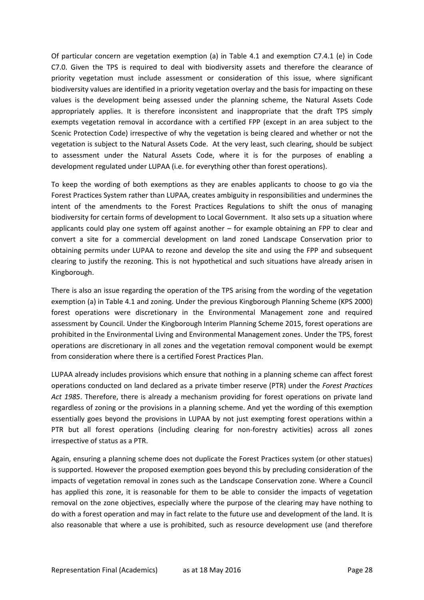Of particular concern are vegetation exemption (a) in Table 4.1 and exemption C7.4.1 (e) in Code C7.0. Given the TPS is required to deal with biodiversity assets and therefore the clearance of priority vegetation must include assessment or consideration of this issue, where significant biodiversity values are identified in a priority vegetation overlay and the basis for impacting on these values is the development being assessed under the planning scheme, the Natural Assets Code appropriately applies. It is therefore inconsistent and inappropriate that the draft TPS simply exempts vegetation removal in accordance with a certified FPP (except in an area subject to the Scenic Protection Code) irrespective of why the vegetation is being cleared and whether or not the vegetation is subject to the Natural Assets Code. At the very least, such clearing, should be subject to assessment under the Natural Assets Code, where it is for the purposes of enabling a development regulated under LUPAA (i.e. for everything other than forest operations).

To keep the wording of both exemptions as they are enables applicants to choose to go via the Forest Practices System rather than LUPAA, creates ambiguity in responsibilities and undermines the intent of the amendments to the Forest Practices Regulations to shift the onus of managing biodiversity for certain forms of development to Local Government. It also sets up a situation where applicants could play one system off against another – for example obtaining an FPP to clear and convert a site for a commercial development on land zoned Landscape Conservation prior to obtaining permits under LUPAA to rezone and develop the site and using the FPP and subsequent clearing to justify the rezoning. This is not hypothetical and such situations have already arisen in Kingborough.

There is also an issue regarding the operation of the TPS arising from the wording of the vegetation exemption (a) in Table 4.1 and zoning. Under the previous Kingborough Planning Scheme (KPS 2000) forest operations were discretionary in the Environmental Management zone and required assessment by Council. Under the Kingborough Interim Planning Scheme 2015, forest operations are prohibited in the Environmental Living and Environmental Management zones. Under the TPS, forest operations are discretionary in all zones and the vegetation removal component would be exempt from consideration where there is a certified Forest Practices Plan.

LUPAA already includes provisions which ensure that nothing in a planning scheme can affect forest operations conducted on land declared as a private timber reserve (PTR) under the *Forest Practices Act 1985*. Therefore, there is already a mechanism providing for forest operations on private land regardless of zoning or the provisions in a planning scheme. And yet the wording of this exemption essentially goes beyond the provisions in LUPAA by not just exempting forest operations within a PTR but all forest operations (including clearing for non-forestry activities) across all zones irrespective of status as a PTR.

Again, ensuring a planning scheme does not duplicate the Forest Practices system (or other statues) is supported. However the proposed exemption goes beyond this by precluding consideration of the impacts of vegetation removal in zones such as the Landscape Conservation zone. Where a Council has applied this zone, it is reasonable for them to be able to consider the impacts of vegetation removal on the zone objectives, especially where the purpose of the clearing may have nothing to do with a forest operation and may in fact relate to the future use and development of the land. It is also reasonable that where a use is prohibited, such as resource development use (and therefore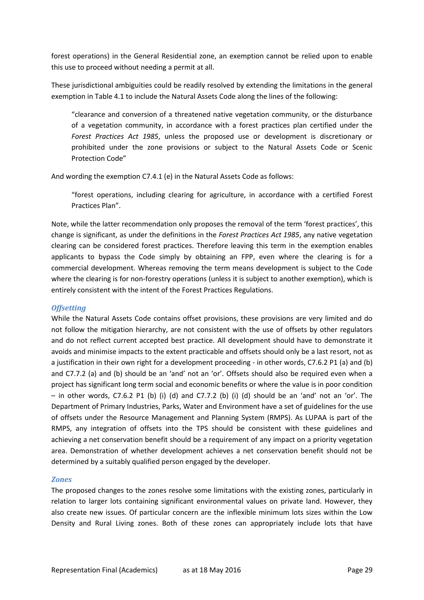forest operations) in the General Residential zone, an exemption cannot be relied upon to enable this use to proceed without needing a permit at all.

These jurisdictional ambiguities could be readily resolved by extending the limitations in the general exemption in Table 4.1 to include the Natural Assets Code along the lines of the following:

"clearance and conversion of a threatened native vegetation community, or the disturbance of a vegetation community, in accordance with a forest practices plan certified under the *Forest Practices Act 1985*, unless the proposed use or development is discretionary or prohibited under the zone provisions or subject to the Natural Assets Code or Scenic Protection Code"

And wording the exemption C7.4.1 (e) in the Natural Assets Code as follows:

"forest operations, including clearing for agriculture, in accordance with a certified [Forest](http://www.iplan.tas.gov.au/pages/plan/book.aspx?exhibit=kinips)  [Practices Plan](http://www.iplan.tas.gov.au/pages/plan/book.aspx?exhibit=kinips)".

Note, while the latter recommendation only proposes the removal of the term 'forest practices', this change is significant, as under the definitions in the *Forest Practices Act 1985*, any native vegetation clearing can be considered forest practices. Therefore leaving this term in the exemption enables applicants to bypass the Code simply by obtaining an FPP, even where the clearing is for a commercial development. Whereas removing the term means development is subject to the Code where the clearing is for non-forestry operations (unless it is subject to another exemption), which is entirely consistent with the intent of the Forest Practices Regulations.

#### *Offsetting*

While the Natural Assets Code contains offset provisions, these provisions are very limited and do not follow the mitigation hierarchy, are not consistent with the use of offsets by other regulators and do not reflect current accepted best practice. All development should have to demonstrate it avoids and minimise impacts to the extent practicable and offsets should only be a last resort, not as a justification in their own right for a development proceeding - in other words, C7.6.2 P1 (a) and (b) and C7.7.2 (a) and (b) should be an 'and' not an 'or'. Offsets should also be required even when a project has significant long term social and economic benefits or where the value is in poor condition – in other words, C7.6.2 P1 (b) (i) (d) and C7.7.2 (b) (i) (d) should be an 'and' not an 'or'. The Department of Primary Industries, Parks, Water and Environment have a set of guidelines for the use of offsets under the Resource Management and Planning System (RMPS). As LUPAA is part of the RMPS, any integration of offsets into the TPS should be consistent with these guidelines and achieving a net conservation benefit should be a requirement of any impact on a priority vegetation area. Demonstration of whether development achieves a net conservation benefit should not be determined by a suitably qualified person engaged by the developer.

#### *Zones*

The proposed changes to the zones resolve some limitations with the existing zones, particularly in relation to larger lots containing significant environmental values on private land. However, they also create new issues. Of particular concern are the inflexible minimum lots sizes within the Low Density and Rural Living zones. Both of these zones can appropriately include lots that have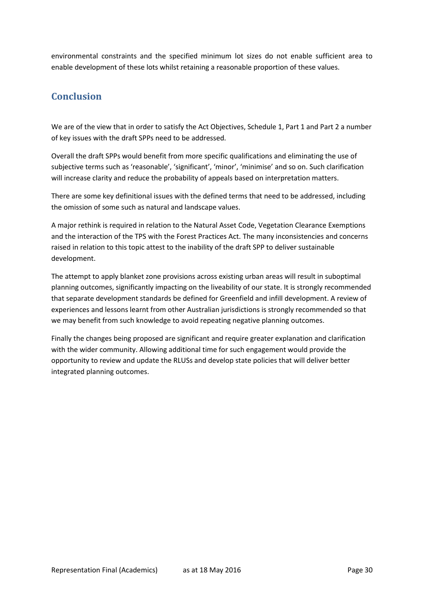environmental constraints and the specified minimum lot sizes do not enable sufficient area to enable development of these lots whilst retaining a reasonable proportion of these values.

# <span id="page-30-0"></span>**Conclusion**

We are of the view that in order to satisfy the Act Objectives, Schedule 1, Part 1 and Part 2 a number of key issues with the draft SPPs need to be addressed.

Overall the draft SPPs would benefit from more specific qualifications and eliminating the use of subjective terms such as 'reasonable', 'significant', 'minor', 'minimise' and so on. Such clarification will increase clarity and reduce the probability of appeals based on interpretation matters.

There are some key definitional issues with the defined terms that need to be addressed, including the omission of some such as natural and landscape values.

A major rethink is required in relation to the Natural Asset Code, Vegetation Clearance Exemptions and the interaction of the TPS with the Forest Practices Act. The many inconsistencies and concerns raised in relation to this topic attest to the inability of the draft SPP to deliver sustainable development.

The attempt to apply blanket zone provisions across existing urban areas will result in suboptimal planning outcomes, significantly impacting on the liveability of our state. It is strongly recommended that separate development standards be defined for Greenfield and infill development. A review of experiences and lessons learnt from other Australian jurisdictions is strongly recommended so that we may benefit from such knowledge to avoid repeating negative planning outcomes.

<span id="page-30-1"></span>Finally the changes being proposed are significant and require greater explanation and clarification with the wider community. Allowing additional time for such engagement would provide the opportunity to review and update the RLUSs and develop state policies that will deliver better integrated planning outcomes.